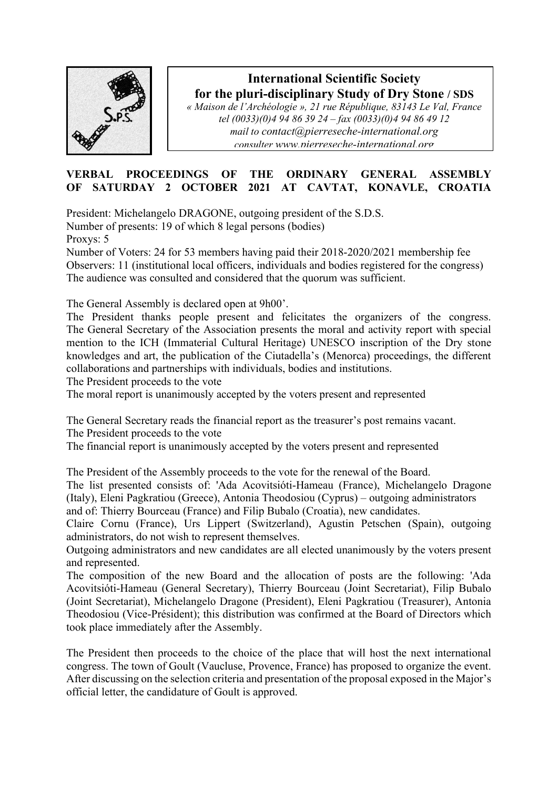

## **International Scientific Society for the pluri-disciplinary Study of Dry Stone / SDS**

*« Maison de l'Archéologie », 21 rue République, 83143 Le Val, France tel (0033)(0)4 94 86 39 24 – fax (0033)(0)4 94 86 49 12 mail to [contact@pierreseche-international.org](mailto:contact@pierreseche-international.org) consulter [www.pierreseche-international.org](http://www.pierreseche-international.org/)*

## **VERBAL PROCEEDINGS OF THE ORDINARY GENERAL ASSEMBLY OF SATURDAY 2 OCTOBER 2021 AT CAVTAT, KONAVLE, CROATIA**

President: Michelangelo DRAGONE, outgoing president of the S.D.S.

Number of presents: 19 of which 8 legal persons (bodies)

Proxys: 5

Number of Voters: 24 for 53 members having paid their 2018-2020/2021 membership fee Observers: 11 (institutional local officers, individuals and bodies registered for the congress) The audience was consulted and considered that the quorum was sufficient.

The General Assembly is declared open at 9h00'.

The President thanks people present and felicitates the organizers of the congress. The General Secretary of the Association presents the moral and activity report with special mention to the ICH (Immaterial Cultural Heritage) UNESCO inscription of the Dry stone knowledges and art, the publication of the Ciutadella's (Menorca) proceedings, the different collaborations and partnerships with individuals, bodies and institutions.

The President proceeds to the vote

The moral report is unanimously accepted by the voters present and represented

The General Secretary reads the financial report as the treasurer's post remains vacant. The President proceeds to the vote

The financial report is unanimously accepted by the voters present and represented

The President of the Assembly proceeds to the vote for the renewal of the Board.

The list presented consists of: 'Ada Acovitsióti-Hameau (France), Michelangelo Dragone (Italy), Eleni Pagkratiou (Greece), Antonia Theodosiou (Cyprus) – outgoing administrators and of: Thierry Bourceau (France) and Filip Bubalo (Croatia), new candidates.

Claire Cornu (France), Urs Lippert (Switzerland), Agustin Petschen (Spain), outgoing administrators, do not wish to represent themselves.

Outgoing administrators and new candidates are all elected unanimously by the voters present and represented.

The composition of the new Board and the allocation of posts are the following: 'Ada Acovitsióti-Hameau (General Secretary), Thierry Bourceau (Joint Secretariat), Filip Bubalo (Joint Secretariat), Michelangelo Dragone (President), Eleni Pagkratiou (Treasurer), Antonia Theodosiou (Vice-Président); this distribution was confirmed at the Board of Directors which took place immediately after the Assembly.

The President then proceeds to the choice of the place that will host the next international congress. The town of Goult (Vaucluse, Provence, France) has proposed to organize the event. After discussing on the selection criteria and presentation of the proposal exposed in the Major's official letter, the candidature of Goult is approved.